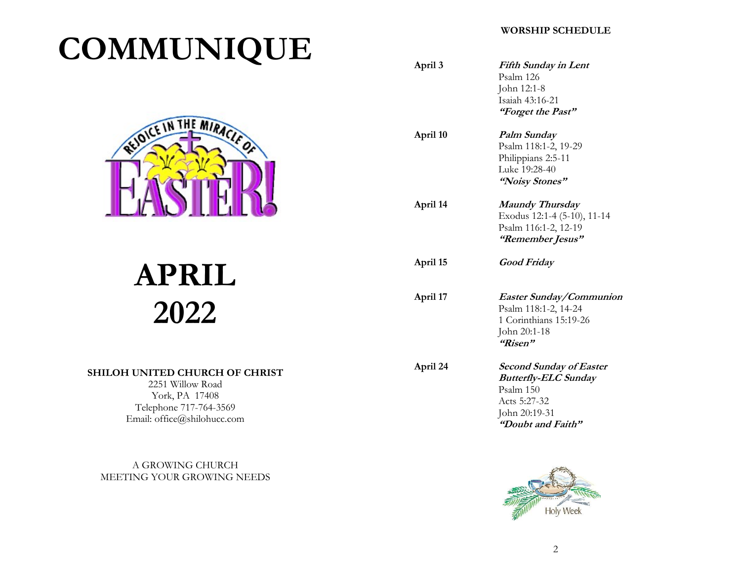# COMMUNIQUE



# APRIL 2022

## SHILOH UNITED CHURCH OF CHRIST

2251 Willow Road York, PA 17408 Telephone 717-764-3569 Email: office@shilohucc.com

A GROWING CHURCH MEETING YOUR GROWING NEEDS

# WORSHIP SCHEDULE

| April 3  | Fifth Sunday in Lent<br>Psalm 126<br>John 12:1-8<br>Isaiah 43:16-21<br>"Forget the Past"                                         |
|----------|----------------------------------------------------------------------------------------------------------------------------------|
| April 10 | Palm Sunday<br>Psalm 118:1-2, 19-29<br>Philippians 2:5-11<br>Luke 19:28-40<br>"Noisy Stones"                                     |
| April 14 | <b>Maundy Thursday</b><br>Exodus 12:1-4 (5-10), 11-14<br>Psalm 116:1-2, 12-19<br>"Remember Jesus"                                |
| April 15 | <b>Good Friday</b>                                                                                                               |
| April 17 | Easter Sunday/Communion<br>Psalm 118:1-2, 14-24<br>1 Corinthians 15:19-26<br>John 20:1-18<br>"Risen"                             |
| April 24 | <b>Second Sunday of Easter</b><br><b>Butterfly-ELC Sunday</b><br>Psalm 150<br>Acts 5:27-32<br>John 20:19-31<br>"Doubt and Faith" |
|          | $F^+$                                                                                                                            |

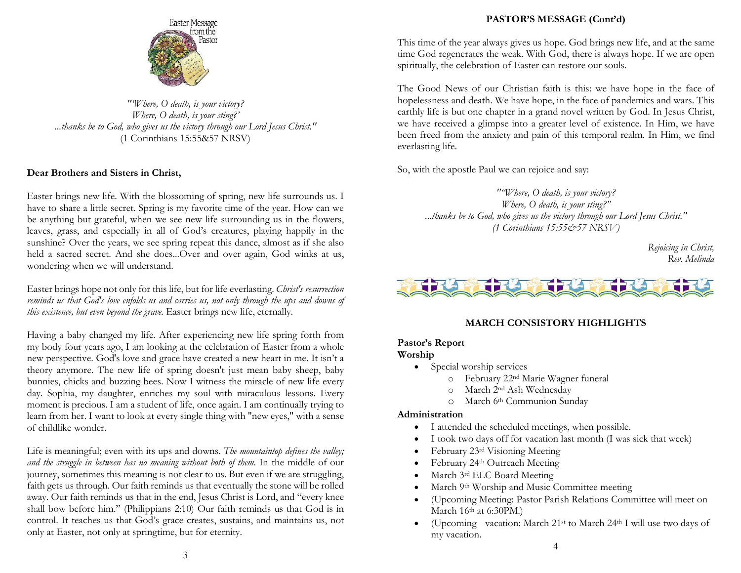

"'Where, O death, is your victory? Where, O death, is your sting?' ...thanks be to God, who gives us the victory through our Lord Jesus Christ." (1 Corinthians 15:55&57 NRSV)

#### Dear Brothers and Sisters in Christ,

Easter brings new life. With the blossoming of spring, new life surrounds us. I have to share a little secret. Spring is my favorite time of the year. How can we be anything but grateful, when we see new life surrounding us in the flowers, leaves, grass, and especially in all of God's creatures, playing happily in the sunshine? Over the years, we see spring repeat this dance, almost as if she also held a sacred secret. And she does...Over and over again, God winks at us, wondering when we will understand.

Easter brings hope not only for this life, but for life everlasting. Christ's resurrection reminds us that God's love enfolds us and carries us, not only through the ups and downs of this existence, but even beyond the grave. Easter brings new life, eternally.

Having a baby changed my life. After experiencing new life spring forth from my body four years ago, I am looking at the celebration of Easter from a whole new perspective. God's love and grace have created a new heart in me. It isn't a theory anymore. The new life of spring doesn't just mean baby sheep, baby bunnies, chicks and buzzing bees. Now I witness the miracle of new life every day. Sophia, my daughter, enriches my soul with miraculous lessons. Every moment is precious. I am a student of life, once again. I am continually trying to learn from her. I want to look at every single thing with "new eyes," with a sense of childlike wonder.

Life is meaningful; even with its ups and downs. The mountaintop defines the valley; and the struggle in between has no meaning without both of them. In the middle of our journey, sometimes this meaning is not clear to us. But even if we are struggling, faith gets us through. Our faith reminds us that eventually the stone will be rolled away. Our faith reminds us that in the end, Jesus Christ is Lord, and "every knee shall bow before him." (Philippians 2:10) Our faith reminds us that God is in control. It teaches us that God's grace creates, sustains, and maintains us, not only at Easter, not only at springtime, but for eternity.

#### PASTOR'S MESSAGE (Cont'd)

This time of the year always gives us hope. God brings new life, and at the same time God regenerates the weak. With God, there is always hope. If we are open spiritually, the celebration of Easter can restore our souls.

The Good News of our Christian faith is this: we have hope in the face of hopelessness and death. We have hope, in the face of pandemics and wars. This earthly life is but one chapter in a grand novel written by God. In Jesus Christ, we have received a glimpse into a greater level of existence. In Him, we have been freed from the anxiety and pain of this temporal realm. In Him, we find everlasting life.

So, with the apostle Paul we can rejoice and say:

""Where, O death, is your victory? Where,  $O$  death, is your sting?" ...thanks be to God, who gives us the victory through our Lord Jesus Christ." (1 Corinthians 15:55&57 NRSV)

> Rejoicing in Christ, Rev. Melinda



#### MARCH CONSISTORY HIGHLIGHTS

#### Pastor's Report

#### Worship

- Special worship services
	- o February 22nd Marie Wagner funeral
	- o March 2nd Ash Wednesday
	- o March 6th Communion Sunday

#### Administration

- I attended the scheduled meetings, when possible.
- I took two days off for vacation last month (I was sick that week)
- February 23rd Visioning Meeting
- February 24th Outreach Meeting
- March 3rd ELC Board Meeting
- March 9th Worship and Music Committee meeting
- (Upcoming Meeting: Pastor Parish Relations Committee will meet on March 16<sup>th</sup> at 6:30PM.)
- (Upcoming vacation: March  $21^{st}$  to March  $24^{th}$  I will use two days of my vacation.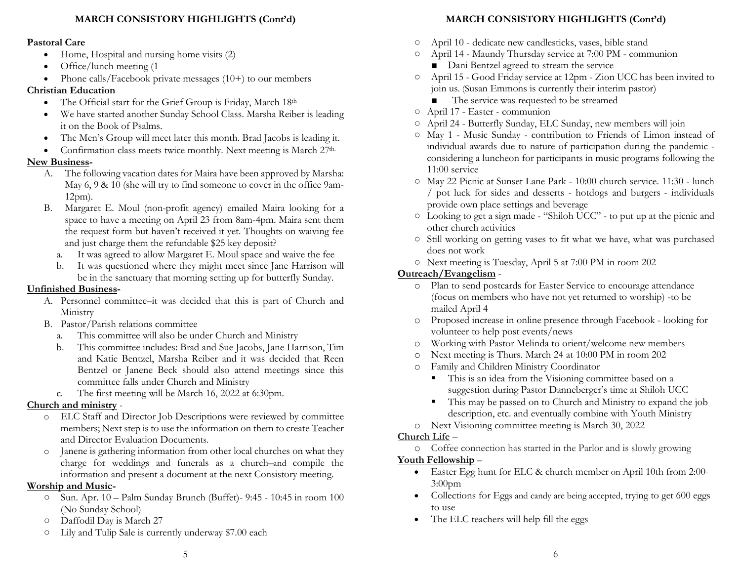## MARCH CONSISTORY HIGHLIGHTS (Cont'd)

#### Pastoral Care

- Home, Hospital and nursing home visits (2)
- Office/lunch meeting (1)
- Phone calls/Facebook private messages  $(10+)$  to our members

## Christian Education

- The Official start for the Grief Group is Friday, March 18th
- We have started another Sunday School Class. Marsha Reiber is leading it on the Book of Psalms.
- The Men's Group will meet later this month. Brad Jacobs is leading it.
- Confirmation class meets twice monthly. Next meeting is March 27<sup>th.</sup>

# New Business-

- A. The following vacation dates for Maira have been approved by Marsha: May 6, 9 & 10 (she will try to find someone to cover in the office 9am-12pm).
- B. Margaret E. Moul (non-profit agency) emailed Maira looking for a space to have a meeting on April 23 from 8am-4pm. Maira sent them the request form but haven't received it yet. Thoughts on waiving fee and just charge them the refundable \$25 key deposit?
	- a. It was agreed to allow Margaret E. Moul space and waive the fee
	- b. It was questioned where they might meet since Jane Harrison will be in the sanctuary that morning setting up for butterfly Sunday.

# Unfinished Business-

- A. Personnel committee–it was decided that this is part of Church and Ministry
- B. Pastor/Parish relations committee
	- a. This committee will also be under Church and Ministry
	- b. This committee includes: Brad and Sue Jacobs, Jane Harrison, Tim and Katie Bentzel, Marsha Reiber and it was decided that Reen Bentzel or Janene Beck should also attend meetings since this committee falls under Church and Ministry
	- c. The first meeting will be March 16, 2022 at 6:30pm.

# Church and ministry -

- o ELC Staff and Director Job Descriptions were reviewed by committee members; Next step is to use the information on them to create Teacher and Director Evaluation Documents.
- o Janene is gathering information from other local churches on what they charge for weddings and funerals as a church–and compile the information and present a document at the next Consistory meeting.

# Worship and Music-

- Sun. Apr. 10 Palm Sunday Brunch (Buffet)- 9:45 10:45 in room 100 (No Sunday School)
- Daffodil Day is March 27
- Lily and Tulip Sale is currently underway \$7.00 each

# MARCH CONSISTORY HIGHLIGHTS (Cont'd)

- April 10 dedicate new candlesticks, vases, bible stand
- April 14 Maundy Thursday service at 7:00 PM communion
	- Dani Bentzel agreed to stream the service
- April 15 Good Friday service at 12pm Zion UCC has been invited to join us. (Susan Emmons is currently their interim pastor)
	- The service was requested to be streamed
- April 17 Easter communion
- April 24 Butterfly Sunday, ELC Sunday, new members will join
- May 1 Music Sunday contribution to Friends of Limon instead of individual awards due to nature of participation during the pandemic considering a luncheon for participants in music programs following the 11:00 service
- May 22 Picnic at Sunset Lane Park 10:00 church service. 11:30 lunch / pot luck for sides and desserts - hotdogs and burgers - individuals provide own place settings and beverage
- Looking to get a sign made "Shiloh UCC" to put up at the picnic and other church activities
- Still working on getting vases to fit what we have, what was purchased does not work
- Next meeting is Tuesday, April 5 at 7:00 PM in room 202

# Outreach/Evangelism -

- o Plan to send postcards for Easter Service to encourage attendance (focus on members who have not yet returned to worship) -to be mailed April 4
- o Proposed increase in online presence through Facebook looking for volunteer to help post events/news
- o Working with Pastor Melinda to orient/welcome new members
- o Next meeting is Thurs. March 24 at 10:00 PM in room 202
- o Family and Children Ministry Coordinator
	- This is an idea from the Visioning committee based on a suggestion during Pastor Danneberger's time at Shiloh UCC
	- This may be passed on to Church and Ministry to expand the job description, etc. and eventually combine with Youth Ministry
- o Next Visioning committee meeting is March 30, 2022

# Church Life –

o Coffee connection has started in the Parlor and is slowly growing Youth Fellowship –

- Easter Egg hunt for ELC & church member on April 10th from 2:00- 3:00pm
- Collections for Eggs and candy are being accepted, trying to get 600 eggs to use
- The ELC teachers will help fill the eggs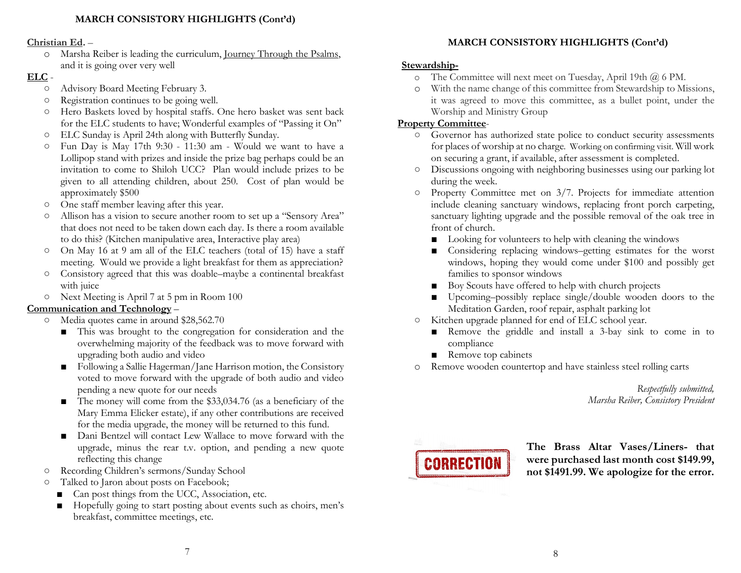#### Christian Ed. –

o Marsha Reiber is leading the curriculum, Journey Through the Psalms, and it is going over very well

#### ELC -

- Advisory Board Meeting February 3.
- Registration continues to be going well.
- Hero Baskets loved by hospital staffs. One hero basket was sent back for the ELC students to have; Wonderful examples of "Passing it On"
- ELC Sunday is April 24th along with Butterfly Sunday.
- Fun Day is May 17th 9:30 11:30 am Would we want to have a Lollipop stand with prizes and inside the prize bag perhaps could be an invitation to come to Shiloh UCC? Plan would include prizes to be given to all attending children, about 250. Cost of plan would be approximately \$500
- One staff member leaving after this year.
- Allison has a vision to secure another room to set up a "Sensory Area" that does not need to be taken down each day. Is there a room available to do this? (Kitchen manipulative area, Interactive play area)
- On May 16 at 9 am all of the ELC teachers (total of 15) have a staff meeting. Would we provide a light breakfast for them as appreciation?
- Consistory agreed that this was doable–maybe a continental breakfast with juice
- Next Meeting is April 7 at 5 pm in Room 100

# Communication and Technology –

- Media quotes came in around \$28,562.70
	- This was brought to the congregation for consideration and the overwhelming majority of the feedback was to move forward with upgrading both audio and video
	- Following a Sallie Hagerman/Jane Harrison motion, the Consistory voted to move forward with the upgrade of both audio and video pending a new quote for our needs
	- The money will come from the \$33,034.76 (as a beneficiary of the Mary Emma Elicker estate), if any other contributions are received for the media upgrade, the money will be returned to this fund.
	- Dani Bentzel will contact Lew Wallace to move forward with the upgrade, minus the rear t.v. option, and pending a new quote reflecting this change
- Recording Children's sermons/Sunday School
- Talked to Jaron about posts on Facebook;
	- Can post things from the UCC, Association, etc.
	- Hopefully going to start posting about events such as choirs, men's breakfast, committee meetings, etc.

# MARCH CONSISTORY HIGHLIGHTS (Cont'd)

# Stewardship-

- o The Committee will next meet on Tuesday, April 19th @ 6 PM.
- o With the name change of this committee from Stewardship to Missions, it was agreed to move this committee, as a bullet point, under the Worship and Ministry Group

# Property Committee-

- Governor has authorized state police to conduct security assessments for places of worship at no charge. Working on confirming visit. Will work on securing a grant, if available, after assessment is completed.
- Discussions ongoing with neighboring businesses using our parking lot during the week.
- Property Committee met on 3/7. Projects for immediate attention include cleaning sanctuary windows, replacing front porch carpeting, sanctuary lighting upgrade and the possible removal of the oak tree in front of church.
	- Looking for volunteers to help with cleaning the windows
	- Considering replacing windows–getting estimates for the worst windows, hoping they would come under \$100 and possibly get families to sponsor windows
	- Boy Scouts have offered to help with church projects
	- Upcoming–possibly replace single/double wooden doors to the Meditation Garden, roof repair, asphalt parking lot
- Kitchen upgrade planned for end of ELC school year.
	- Remove the griddle and install a 3-bay sink to come in to compliance
	- Remove top cabinets
- o Remove wooden countertop and have stainless steel rolling carts

Respectfully submitted, Marsha Reiber, Consistory President



The Brass Altar Vases/Liners- that were purchased last month cost \$149.99, not \$1491.99. We apologize for the error.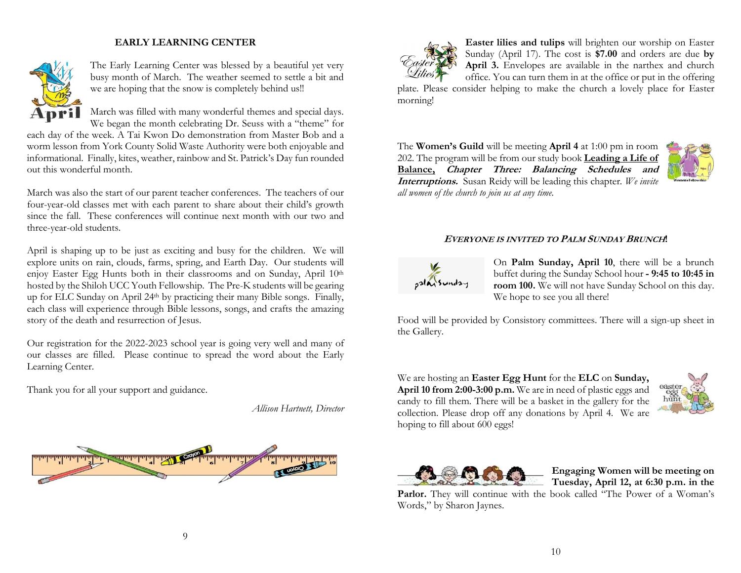## EARLY LEARNING CENTER



The Early Learning Center was blessed by a beautiful yet very busy month of March. The weather seemed to settle a bit and we are hoping that the snow is completely behind us!!

March was filled with many wonderful themes and special days. We began the month celebrating Dr. Seuss with a "theme" for

each day of the week. A Tai Kwon Do demonstration from Master Bob and a worm lesson from York County Solid Waste Authority were both enjoyable and informational. Finally, kites, weather, rainbow and St. Patrick's Day fun rounded out this wonderful month.

March was also the start of our parent teacher conferences. The teachers of our four-year-old classes met with each parent to share about their child's growth since the fall. These conferences will continue next month with our two and three-year-old students.

April is shaping up to be just as exciting and busy for the children. We will explore units on rain, clouds, farms, spring, and Earth Day. Our students will enjoy Easter Egg Hunts both in their classrooms and on Sunday, April 10th hosted by the Shiloh UCC Youth Fellowship. The Pre-K students will be gearing up for ELC Sunday on April 24<sup>th</sup> by practicing their many Bible songs. Finally, each class will experience through Bible lessons, songs, and crafts the amazing story of the death and resurrection of Jesus.

Our registration for the 2022-2023 school year is going very well and many of our classes are filled. Please continue to spread the word about the Early Learning Center.

Thank you for all your support and guidance.

Allison Hartnett, Director





Easter lilies and tulips will brighten our worship on Easter Sunday (April 17). The cost is \$7.00 and orders are due by April 3. Envelopes are available in the narthex and church office. You can turn them in at the office or put in the offering

plate. Please consider helping to make the church a lovely place for Easter morning!

The Women's Guild will be meeting April 4 at 1:00 pm in room 202. The program will be from our study book Leading a Life of Balance, Chapter Three: Balancing Schedules and Interruptions. Susan Reidy will be leading this chapter. We invite all women of the church to join us at any time.



#### <sup>E</sup>VERYONE IS INVITED TO PALM SUNDAY BRUNCH!



On Palm Sunday, April 10, there will be a brunch buffet during the Sunday School hour - 9:45 to 10:45 in room 100. We will not have Sunday School on this day. We hope to see you all there!

Food will be provided by Consistory committees. There will a sign-up sheet in the Gallery.

We are hosting an Easter Egg Hunt for the ELC on Sunday, April 10 from 2:00-3:00 p.m. We are in need of plastic eggs and candy to fill them. There will be a basket in the gallery for the collection. Please drop off any donations by April 4. We are hoping to fill about 600 eggs!





Engaging Women will be meeting on Tuesday, April 12, at 6:30 p.m. in the

Parlor. They will continue with the book called "The Power of a Woman's Words," by Sharon Jaynes.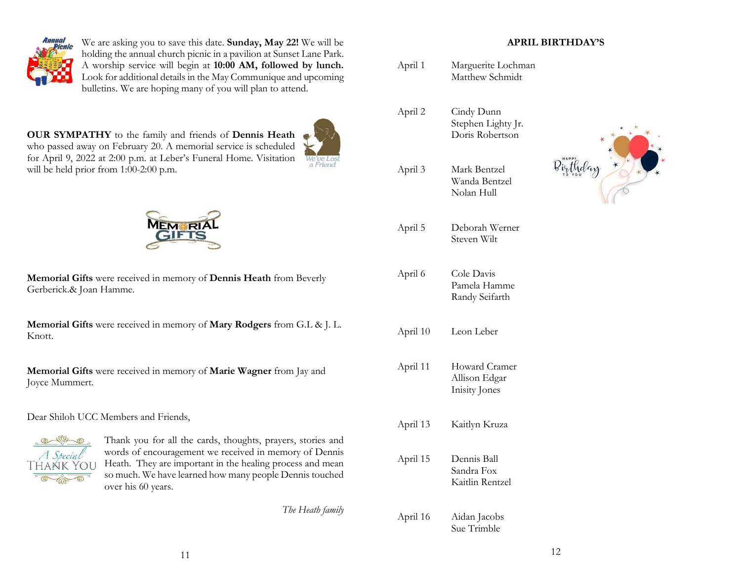

We are asking you to save this date. Sunday, May 22! We will be holding the annual church picnic in a pavilion at Sunset Lane Park. A worship service will begin at 10:00 AM, followed by lunch. Look for additional details in the May Communique and upcoming bulletins. We are hoping many of you will plan to attend.

OUR SYMPATHY to the family and friends of Dennis Heath who passed away on February 20. A memorial service is scheduled for April 9, 2022 at 2:00 p.m. at Leber's Funeral Home. Visitation will be held prior from 1:00-2:00 p.m.





Memorial Gifts were received in memory of Dennis Heath from Beverly Gerberick.& Joan Hamme.

Memorial Gifts were received in memory of Mary Rodgers from G.L & J. L. Knott.

Memorial Gifts were received in memory of Marie Wagner from Jay and Joyce Mummert.

#### Dear Shiloh UCC Members and Friends,



Thank you for all the cards, thoughts, prayers, stories and words of encouragement we received in memory of Dennis Heath. They are important in the healing process and mean so much. We have learned how many people Dennis touched over his 60 years.

The Heath family

## APRIL BIRTHDAY'S

| April 1  | Marguerite Lochman<br>Matthew Schmidt               |  |
|----------|-----------------------------------------------------|--|
| April 2  | Cindy Dunn<br>Stephen Lighty Jr.<br>Doris Robertson |  |
| April 3  | Mark Bentzel<br>Wanda Bentzel<br>Nolan Hull         |  |
| April 5  | Deborah Werner<br>Steven Wilt                       |  |
| April 6  | Cole Davis<br>Pamela Hamme<br>Randy Seifarth        |  |
| April 10 | Leon Leber                                          |  |
| April 11 | Howard Cramer<br>Allison Edgar<br>Inisity Jones     |  |
| April 13 | Kaitlyn Kruza                                       |  |
| April 15 | Dennis Ball<br>Sandra Fox<br>Kaitlin Rentzel        |  |
| April 16 | Aidan Jacobs                                        |  |

Sue Trimble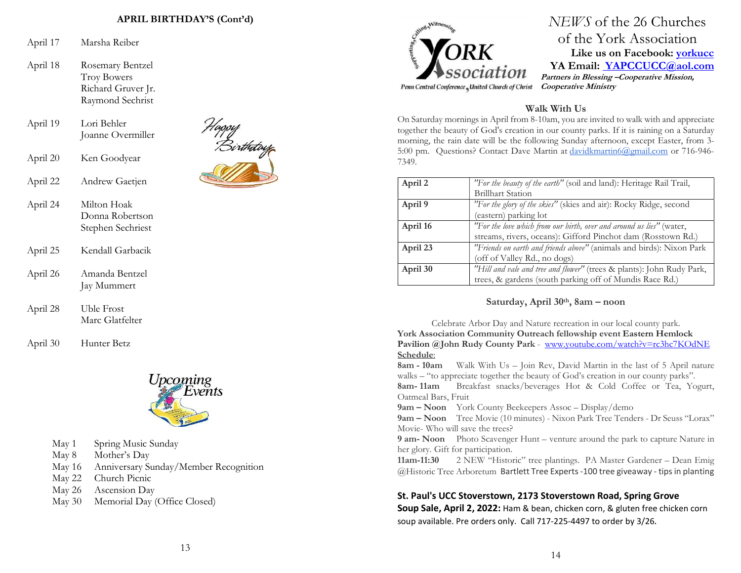#### APRIL BIRTHDAY'S (Cont'd)

- April 17 Marsha Reiber
- April 18 Rosemary Bentzel Troy Bowers Richard Gruver Jr. Raymond Sechrist
- April 19 Lori Behler Joanne Overmiller
- April 20 Ken Goodyear
- April 22 Andrew Gaetjen



- April 24 Milton Hoak Donna Robertson Stephen Sechriest
- April 25 Kendall Garbacik
- April 26 Amanda Bentzel Jay Mummert
- April 28 Uble Frost Marc Glatfelter
- April 30 Hunter Betz



- May 1 Spring Music Sunday
- May 8 Mother's Day
- May 16 Anniversary Sunday/Member Recognition
- May 22 Church Picnic
- May 26 Ascension Day
- May 30 Memorial Day (Office Closed)



NEWS of the 26 Churches of the York Association Like us on Facebook: **yorkucc** YA Email: YAPCCUCC@aol.com Partners in Blessing –Cooperative Mission, Cooperative Ministry

## Walk With Us

On Saturday mornings in April from 8-10am, you are invited to walk with and appreciate together the beauty of God's creation in our county parks. If it is raining on a Saturday morning, the rain date will be the following Sunday afternoon, except Easter, from 3- 5:00 pm. Questions? Contact Dave Martin at davidkmartin6@gmail.com or 716-946- 7349.

| April 2  | "For the beauty of the earth" (soil and land): Heritage Rail Trail,   |
|----------|-----------------------------------------------------------------------|
|          | <b>Brillhart Station</b>                                              |
| April 9  | "For the glory of the skies" (skies and air): Rocky Ridge, second     |
|          | (eastern) parking lot                                                 |
| April 16 | "For the love which from our birth, over and around us lies" (water,  |
|          | streams, rivers, oceans): Gifford Pinchot dam (Rosstown Rd.)          |
| April 23 | "Friends on earth and friends above" (animals and birds): Nixon Park  |
|          | (off of Valley Rd., no dogs)                                          |
| April 30 | "Hill and vale and tree and flower" (trees & plants): John Rudy Park, |
|          | trees, & gardens (south parking off of Mundis Race Rd.)               |

#### Saturday, April 30th, 8am - noon

Celebrate Arbor Day and Nature recreation in our local county park. York Association Community Outreach fellowship event Eastern Hemlock Pavilion @John Rudy County Park - www.youtube.com/watch?v=rc3hc7KOdNE Schedule:

8am - 10am Walk With Us – Join Rev, David Martin in the last of 5 April nature walks – "to appreciate together the beauty of God's creation in our county parks".

8am- 11am Breakfast snacks/beverages Hot & Cold Coffee or Tea, Yogurt, Oatmeal Bars, Fruit

9am – Noon York County Beekeepers Assoc – Display/demo

9am – Noon Tree Movie (10 minutes) - Nixon Park Tree Tenders - Dr Seuss "Lorax" Movie- Who will save the trees?

9 am- Noon Photo Scavenger Hunt – venture around the park to capture Nature in her glory. Gift for participation.

11am-11:30 2 NEW "Historic" tree plantings. PA Master Gardener – Dean Emig @Historic Tree Arboretum Bartlett Tree Experts -100 tree giveaway - tips in planting

#### St. Paul's UCC Stoverstown, 2173 Stoverstown Road, Spring Grove

Soup Sale, April 2, 2022: Ham & bean, chicken corn, & gluten free chicken corn soup available. Pre orders only. Call 717-225-4497 to order by 3/26.